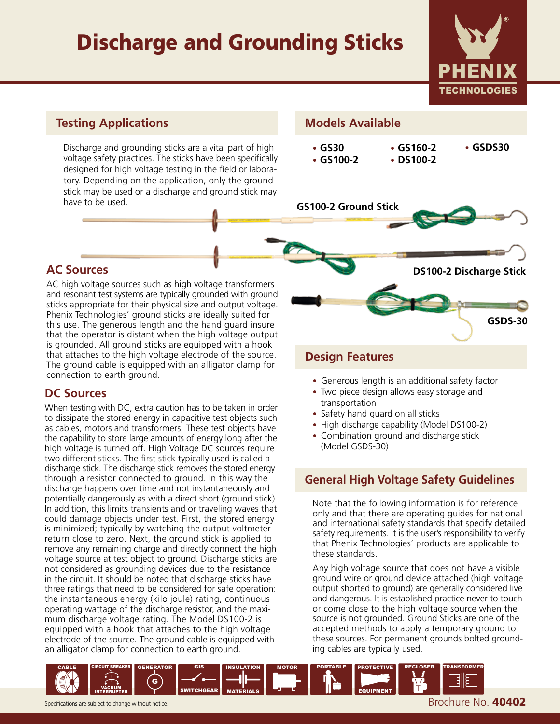# Discharge and Grounding Sticks



#### Discharge and grounding sticks are a vital part of high voltage safety practices. The sticks have been specifically designed for high voltage testing in the field or laboratory. Depending on the application, only the ground stick may be used or a discharge and ground stick may have to be used. **Testing Applications Models Available • GS30 • GS100-2 • GS160-2 • DS100-2 GS100-2 Ground Stick • GSDS30**

## **AC Sources**

AC high voltage sources such as high voltage transformers and resonant test systems are typically grounded with ground sticks appropriate for their physical size and output voltage. Phenix Technologies' ground sticks are ideally suited for this use. The generous length and the hand guard insure that the operator is distant when the high voltage output is grounded. All ground sticks are equipped with a hook that attaches to the high voltage electrode of the source. The ground cable is equipped with an alligator clamp for connection to earth ground.

#### **DC Sources**

When testing with DC, extra caution has to be taken in order to dissipate the stored energy in capacitive test objects such as cables, motors and transformers. These test objects have the capability to store large amounts of energy long after the high voltage is turned off. High Voltage DC sources require two different sticks. The first stick typically used is called a discharge stick. The discharge stick removes the stored energy through a resistor connected to ground. In this way the discharge happens over time and not instantaneously and potentially dangerously as with a direct short (ground stick). In addition, this limits transients and or traveling waves that could damage objects under test. First, the stored energy is minimized; typically by watching the output voltmeter return close to zero. Next, the ground stick is applied to remove any remaining charge and directly connect the high voltage source at test object to ground. Discharge sticks are not considered as grounding devices due to the resistance in the circuit. It should be noted that discharge sticks have three ratings that need to be considered for safe operation: the instantaneous energy (kilo joule) rating, continuous operating wattage of the discharge resistor, and the maximum discharge voltage rating. The Model DS100-2 is equipped with a hook that attaches to the high voltage electrode of the source. The ground cable is equipped with an alligator clamp for connection to earth ground.



## **Design Features**

- Generous length is an additional safety factor
- Two piece design allows easy storage and transportation
- Safety hand guard on all sticks
- High discharge capability (Model DS100-2)
- Combination ground and discharge stick (Model GSDS-30)

# **General High Voltage Safety Guidelines**

Note that the following information is for reference only and that there are operating guides for national and international safety standards that specify detailed safety requirements. It is the user's responsibility to verify that Phenix Technologies' products are applicable to these standards.

Any high voltage source that does not have a visible ground wire or ground device attached (high voltage output shorted to ground) are generally considered live and dangerous. It is established practice never to touch or come close to the high voltage source when the source is not grounded. Ground Sticks are one of the accepted methods to apply a temporary ground to these sources. For permanent grounds bolted grounding cables are typically used.